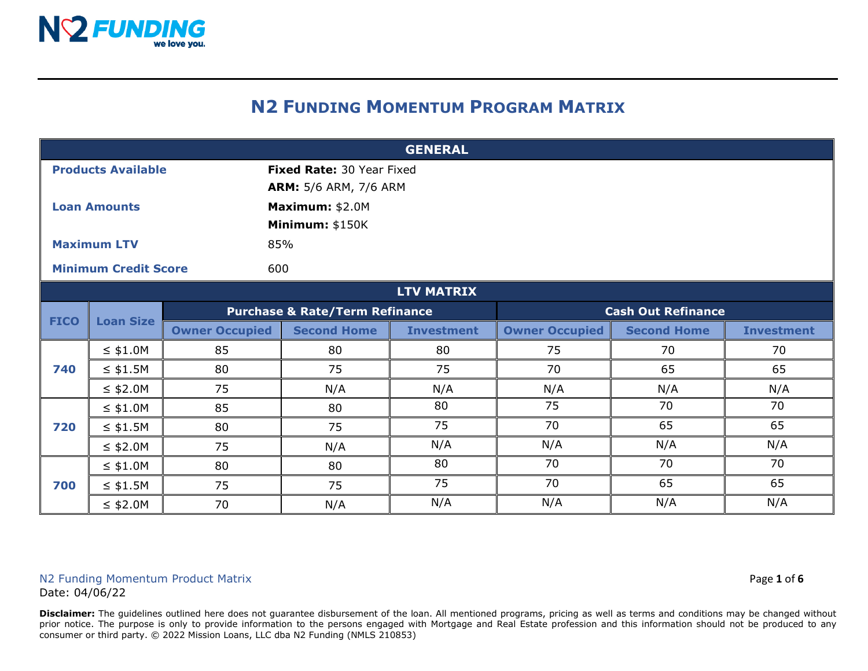

## **N2 FUNDING MOMENTUM PROGRAM MATRIX**

| <b>GENERAL</b>              |                  |                                           |                              |                   |                           |                    |                   |  |
|-----------------------------|------------------|-------------------------------------------|------------------------------|-------------------|---------------------------|--------------------|-------------------|--|
| <b>Products Available</b>   |                  |                                           | Fixed Rate: 30 Year Fixed    |                   |                           |                    |                   |  |
|                             |                  |                                           | <b>ARM:</b> 5/6 ARM, 7/6 ARM |                   |                           |                    |                   |  |
| <b>Loan Amounts</b>         |                  |                                           | Maximum: \$2.0M              |                   |                           |                    |                   |  |
|                             |                  |                                           | Minimum: \$150K              |                   |                           |                    |                   |  |
| <b>Maximum LTV</b>          |                  |                                           | 85%                          |                   |                           |                    |                   |  |
| <b>Minimum Credit Score</b> |                  |                                           | 600                          |                   |                           |                    |                   |  |
|                             |                  |                                           |                              | <b>LTV MATRIX</b> |                           |                    |                   |  |
| <b>FICO</b>                 | <b>Loan Size</b> | <b>Purchase &amp; Rate/Term Refinance</b> |                              |                   | <b>Cash Out Refinance</b> |                    |                   |  |
|                             |                  | <b>Owner Occupied</b>                     | <b>Second Home</b>           | <b>Investment</b> | <b>Owner Occupied</b>     | <b>Second Home</b> | <b>Investment</b> |  |
|                             | $\leq$ \$1.0M    | 85                                        | 80                           | 80                | 75                        | 70                 | 70                |  |
| 740                         | $\leq$ \$1.5M    | 80                                        | 75                           | 75                | 70                        | 65                 | 65                |  |
|                             | $\leq$ \$2.0M    | 75                                        | N/A                          | N/A               | N/A                       | N/A                | N/A               |  |
|                             | $\leq$ \$1.0M    | 85                                        | 80                           | 80                | 75                        | 70                 | 70                |  |
| 720                         | $\leq$ \$1.5M    | 80                                        | 75                           | 75                | 70                        | 65                 | 65                |  |
|                             | $\leq$ \$2.0M    | 75                                        | N/A                          | N/A               | N/A                       | N/A                | N/A               |  |
| 700                         | $\leq$ \$1.0M    | 80                                        | 80                           | 80                | 70                        | 70                 | 70                |  |
|                             | $\leq$ \$1.5M    | 75                                        | 75                           | 75                | 70                        | 65                 | 65                |  |
|                             | $\leq$ \$2.0M    | 70                                        | N/A                          | N/A               | N/A                       | N/A                | N/A               |  |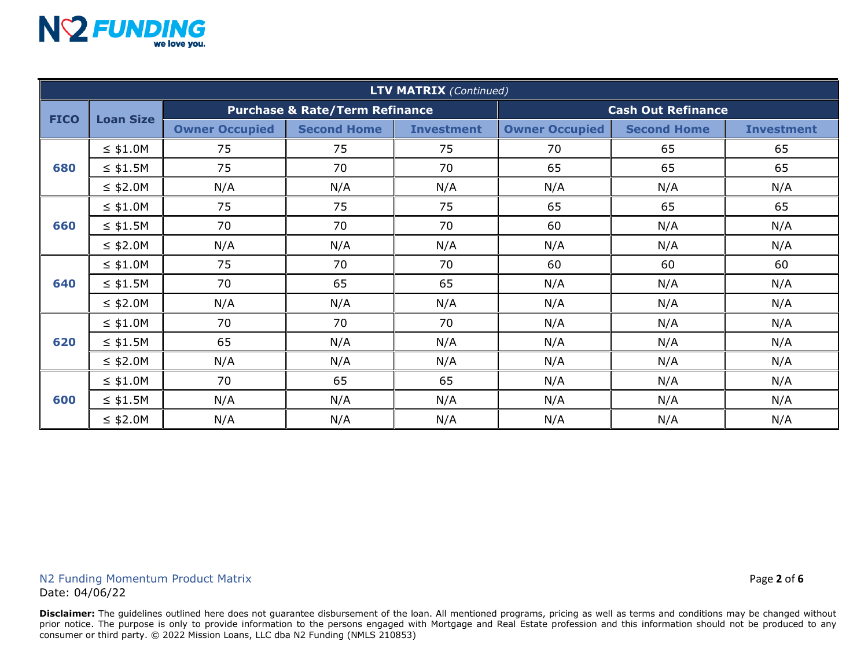

| <b>LTV MATRIX (Continued)</b> |                  |                                           |                    |                   |                           |                    |                   |
|-------------------------------|------------------|-------------------------------------------|--------------------|-------------------|---------------------------|--------------------|-------------------|
| <b>FICO</b>                   | <b>Loan Size</b> | <b>Purchase &amp; Rate/Term Refinance</b> |                    |                   | <b>Cash Out Refinance</b> |                    |                   |
|                               |                  | <b>Owner Occupied</b>                     | <b>Second Home</b> | <b>Investment</b> | <b>Owner Occupied</b>     | <b>Second Home</b> | <b>Investment</b> |
| 680                           | $\leq$ \$1.0M    | 75                                        | 75                 | 75                | 70                        | 65                 | 65                |
|                               | $\leq$ \$1.5M    | 75                                        | 70                 | 70                | 65                        | 65                 | 65                |
|                               | $\leq$ \$2.0M    | N/A                                       | N/A                | N/A               | N/A                       | N/A                | N/A               |
|                               | $\leq$ \$1.0M    | 75                                        | 75                 | 75                | 65                        | 65                 | 65                |
| 660                           | $\leq$ \$1.5M    | 70                                        | 70                 | 70                | 60                        | N/A                | N/A               |
|                               | $\leq$ \$2.0M    | N/A                                       | N/A                | N/A               | N/A                       | N/A                | N/A               |
| 640                           | $\leq$ \$1.0M    | 75                                        | 70                 | 70                | 60                        | 60                 | 60                |
|                               | $\leq$ \$1.5M    | 70                                        | 65                 | 65                | N/A                       | N/A                | N/A               |
|                               | $\leq$ \$2.0M    | N/A                                       | N/A                | N/A               | N/A                       | N/A                | N/A               |
| 620                           | $\leq$ \$1.0M    | 70                                        | 70                 | 70                | N/A                       | N/A                | N/A               |
|                               | $\leq$ \$1.5M    | 65                                        | N/A                | N/A               | N/A                       | N/A                | N/A               |
|                               | $\leq$ \$2.0M    | N/A                                       | N/A                | N/A               | N/A                       | N/A                | N/A               |
| 600                           | $\leq$ \$1.0M    | 70                                        | 65                 | 65                | N/A                       | N/A                | N/A               |
|                               | $\leq$ \$1.5M    | N/A                                       | N/A                | N/A               | N/A                       | N/A                | N/A               |
|                               | $\leq$ \$2.0M    | N/A                                       | N/A                | N/A               | N/A                       | N/A                | N/A               |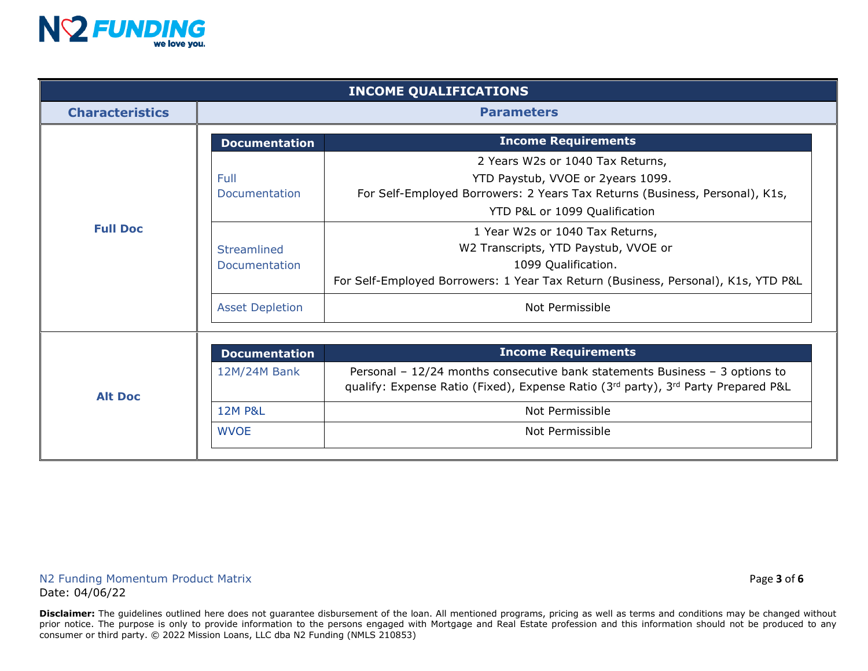

| <b>INCOME QUALIFICATIONS</b> |                                                    |                                                                                                                                                                                                                                                                  |  |  |  |
|------------------------------|----------------------------------------------------|------------------------------------------------------------------------------------------------------------------------------------------------------------------------------------------------------------------------------------------------------------------|--|--|--|
| <b>Characteristics</b>       | <b>Parameters</b>                                  |                                                                                                                                                                                                                                                                  |  |  |  |
|                              | <b>Income Requirements</b><br><b>Documentation</b> |                                                                                                                                                                                                                                                                  |  |  |  |
| <b>Full Doc</b>              | Full<br>Documentation<br>Streamlined               | 2 Years W2s or 1040 Tax Returns,<br>YTD Paystub, VVOE or 2years 1099.<br>For Self-Employed Borrowers: 2 Years Tax Returns (Business, Personal), K1s,<br>YTD P&L or 1099 Qualification<br>1 Year W2s or 1040 Tax Returns,<br>W2 Transcripts, YTD Paystub, VVOE or |  |  |  |
|                              | Documentation                                      | 1099 Qualification.<br>For Self-Employed Borrowers: 1 Year Tax Return (Business, Personal), K1s, YTD P&L                                                                                                                                                         |  |  |  |
|                              | <b>Asset Depletion</b>                             | Not Permissible                                                                                                                                                                                                                                                  |  |  |  |
|                              |                                                    |                                                                                                                                                                                                                                                                  |  |  |  |
|                              | <b>Income Requirements</b><br><b>Documentation</b> |                                                                                                                                                                                                                                                                  |  |  |  |
| <b>Alt Doc</b>               | 12M/24M Bank                                       | Personal - $12/24$ months consecutive bank statements Business - 3 options to<br>qualify: Expense Ratio (Fixed), Expense Ratio (3rd party), 3rd Party Prepared P&L                                                                                               |  |  |  |
|                              | <b>12M P&amp;L</b>                                 | Not Permissible                                                                                                                                                                                                                                                  |  |  |  |
|                              | <b>WVOE</b>                                        | Not Permissible                                                                                                                                                                                                                                                  |  |  |  |
|                              |                                                    |                                                                                                                                                                                                                                                                  |  |  |  |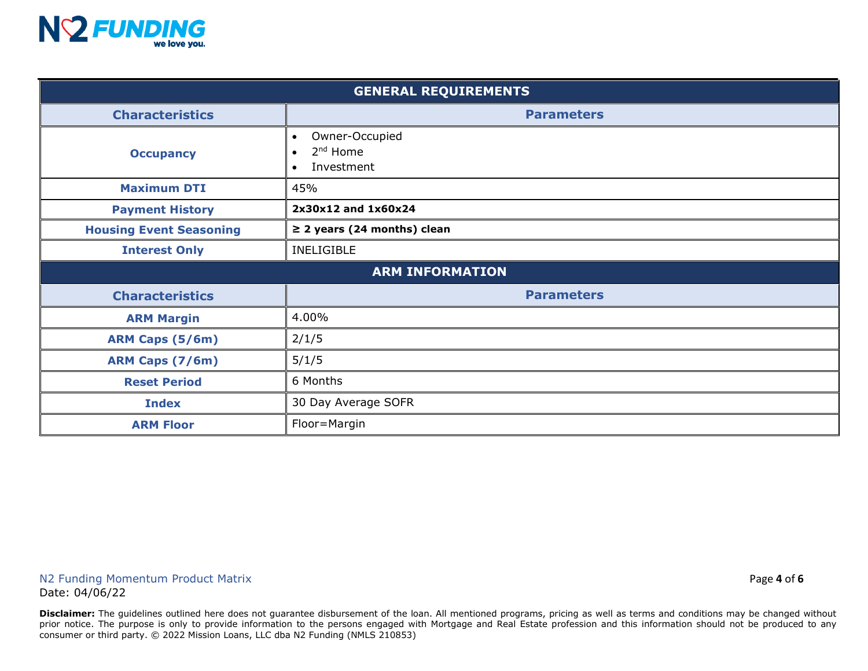

| <b>GENERAL REQUIREMENTS</b>    |                                                                                             |  |  |  |
|--------------------------------|---------------------------------------------------------------------------------------------|--|--|--|
| <b>Characteristics</b>         | <b>Parameters</b>                                                                           |  |  |  |
| <b>Occupancy</b>               | Owner-Occupied<br>$\bullet$<br>2 <sup>nd</sup> Home<br>$\bullet$<br>Investment<br>$\bullet$ |  |  |  |
| <b>Maximum DTI</b>             | 45%                                                                                         |  |  |  |
| <b>Payment History</b>         | 2x30x12 and 1x60x24                                                                         |  |  |  |
| <b>Housing Event Seasoning</b> | $\geq$ 2 years (24 months) clean                                                            |  |  |  |
| <b>Interest Only</b>           | <b>INELIGIBLE</b>                                                                           |  |  |  |
| <b>ARM INFORMATION</b>         |                                                                                             |  |  |  |
| <b>Characteristics</b>         | <b>Parameters</b>                                                                           |  |  |  |
| <b>ARM Margin</b>              | 4.00%                                                                                       |  |  |  |
| <b>ARM Caps (5/6m)</b>         | 2/1/5                                                                                       |  |  |  |
| ARM Caps (7/6m)                | 5/1/5                                                                                       |  |  |  |
| <b>Reset Period</b>            | 6 Months                                                                                    |  |  |  |
| <b>Index</b>                   | 30 Day Average SOFR                                                                         |  |  |  |
| <b>ARM Floor</b>               | Floor=Margin                                                                                |  |  |  |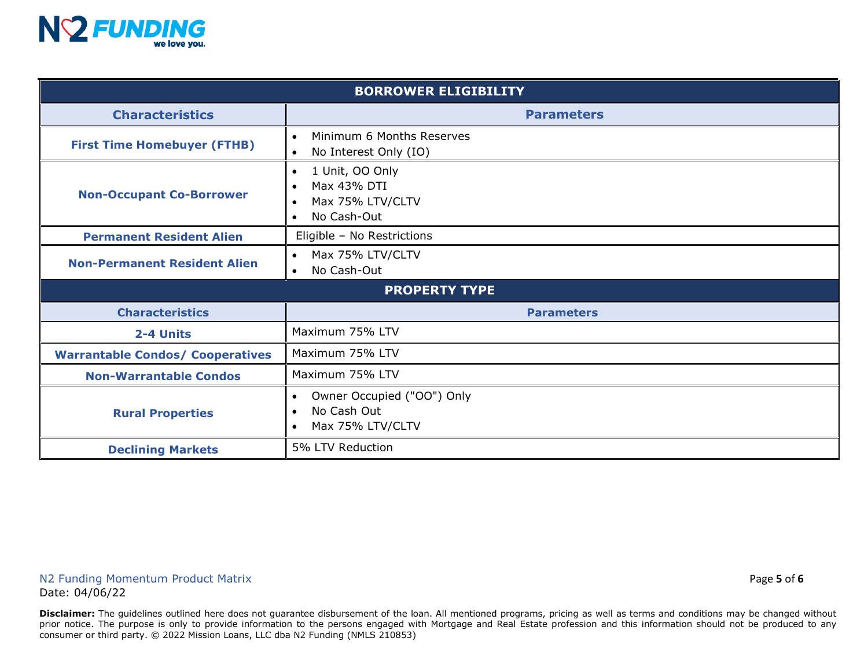

| <b>BORROWER ELIGIBILITY</b>             |                                                                                                                       |  |  |  |  |
|-----------------------------------------|-----------------------------------------------------------------------------------------------------------------------|--|--|--|--|
| <b>Characteristics</b>                  | <b>Parameters</b>                                                                                                     |  |  |  |  |
| <b>First Time Homebuyer (FTHB)</b>      | Minimum 6 Months Reserves<br>No Interest Only (IO)                                                                    |  |  |  |  |
| <b>Non-Occupant Co-Borrower</b>         | 1 Unit, OO Only<br>$\bullet$<br>Max 43% DTI<br>$\bullet$<br>Max 75% LTV/CLTV<br>$\bullet$<br>No Cash-Out<br>$\bullet$ |  |  |  |  |
| <b>Permanent Resident Alien</b>         | Eligible - No Restrictions                                                                                            |  |  |  |  |
| <b>Non-Permanent Resident Alien</b>     | Max 75% LTV/CLTV<br>$\bullet$<br>No Cash-Out<br>$\bullet$                                                             |  |  |  |  |
| <b>PROPERTY TYPE</b>                    |                                                                                                                       |  |  |  |  |
| <b>Characteristics</b>                  | <b>Parameters</b>                                                                                                     |  |  |  |  |
| 2-4 Units                               | Maximum 75% LTV                                                                                                       |  |  |  |  |
| <b>Warrantable Condos/ Cooperatives</b> | Maximum 75% LTV                                                                                                       |  |  |  |  |
| <b>Non-Warrantable Condos</b>           | Maximum 75% LTV                                                                                                       |  |  |  |  |
| <b>Rural Properties</b>                 | Owner Occupied ("OO") Only<br>$\bullet$<br>No Cash Out<br>$\bullet$<br>Max 75% LTV/CLTV<br>$\bullet$                  |  |  |  |  |
| <b>Declining Markets</b>                | 5% LTV Reduction                                                                                                      |  |  |  |  |